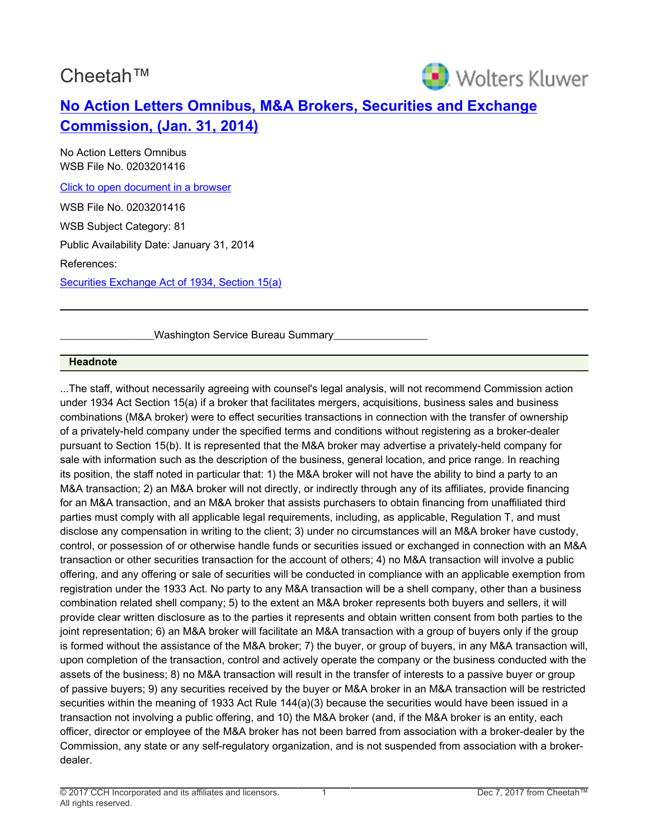# Cheetah™



## **[No Action Letters Omnibus, M&A Brokers, Securities and Exchange](http://prod.resource.cch.com/resource/scion/document/default/%28%40%40CG-NOAL+WSB%230203201416%29sdv0266aeefb47bca1000a0f1d8d385ad169401?cfu=Legal&cpid=WKUS-Legal-Cheetah&uAppCtx=cheetah) [Commission, \(Jan. 31, 2014\)](http://prod.resource.cch.com/resource/scion/document/default/%28%40%40CG-NOAL+WSB%230203201416%29sdv0266aeefb47bca1000a0f1d8d385ad169401?cfu=Legal&cpid=WKUS-Legal-Cheetah&uAppCtx=cheetah)**

No Action Letters Omnibus WSB File No. 0203201416

[Click to open document in a browser](http://prod.resource.cch.com/resource/scion/document/default/%28%40%40CG-NOAL+WSB%230203201416%29sdv0266aeefb47bca1000a0f1d8d385ad169401?cfu=Legal&cpid=WKUS-Legal-Cheetah&uAppCtx=cheetah)

WSB File No. 0203201416

WSB Subject Category: 81

Public Availability Date: January 31, 2014

References:

[Securities Exchange Act of 1934, Section 15\(a\)](http://prod.resource.cch.com/resource/scion/citation/pit/ACT34%7B%23%23plus%23%23%7D15%28a%29/SEC-ALNK?cfu=Legal&cpid=WKUS-Legal-Cheetah&uAppCtx=cheetah)

Washington Service Bureau Summary

#### **Headnote**

...The staff, without necessarily agreeing with counsel's legal analysis, will not recommend Commission action under 1934 Act Section 15(a) if a broker that facilitates mergers, acquisitions, business sales and business combinations (M&A broker) were to effect securities transactions in connection with the transfer of ownership of a privately-held company under the specified terms and conditions without registering as a broker-dealer pursuant to Section 15(b). It is represented that the M&A broker may advertise a privately-held company for sale with information such as the description of the business, general location, and price range. In reaching its position, the staff noted in particular that: 1) the M&A broker will not have the ability to bind a party to an M&A transaction; 2) an M&A broker will not directly, or indirectly through any of its affiliates, provide financing for an M&A transaction, and an M&A broker that assists purchasers to obtain financing from unaffiliated third parties must comply with all applicable legal requirements, including, as applicable, Regulation T, and must disclose any compensation in writing to the client; 3) under no circumstances will an M&A broker have custody, control, or possession of or otherwise handle funds or securities issued or exchanged in connection with an M&A transaction or other securities transaction for the account of others; 4) no M&A transaction will involve a public offering, and any offering or sale of securities will be conducted in compliance with an applicable exemption from registration under the 1933 Act. No party to any M&A transaction will be a shell company, other than a business combination related shell company; 5) to the extent an M&A broker represents both buyers and sellers, it will provide clear written disclosure as to the parties it represents and obtain written consent from both parties to the joint representation; 6) an M&A broker will facilitate an M&A transaction with a group of buyers only if the group is formed without the assistance of the M&A broker; 7) the buyer, or group of buyers, in any M&A transaction will, upon completion of the transaction, control and actively operate the company or the business conducted with the assets of the business; 8) no M&A transaction will result in the transfer of interests to a passive buyer or group of passive buyers; 9) any securities received by the buyer or M&A broker in an M&A transaction will be restricted securities within the meaning of 1933 Act Rule 144(a)(3) because the securities would have been issued in a transaction not involving a public offering, and 10) the M&A broker (and, if the M&A broker is an entity, each officer, director or employee of the M&A broker has not been barred from association with a broker-dealer by the Commission, any state or any self-regulatory organization, and is not suspended from association with a brokerdealer.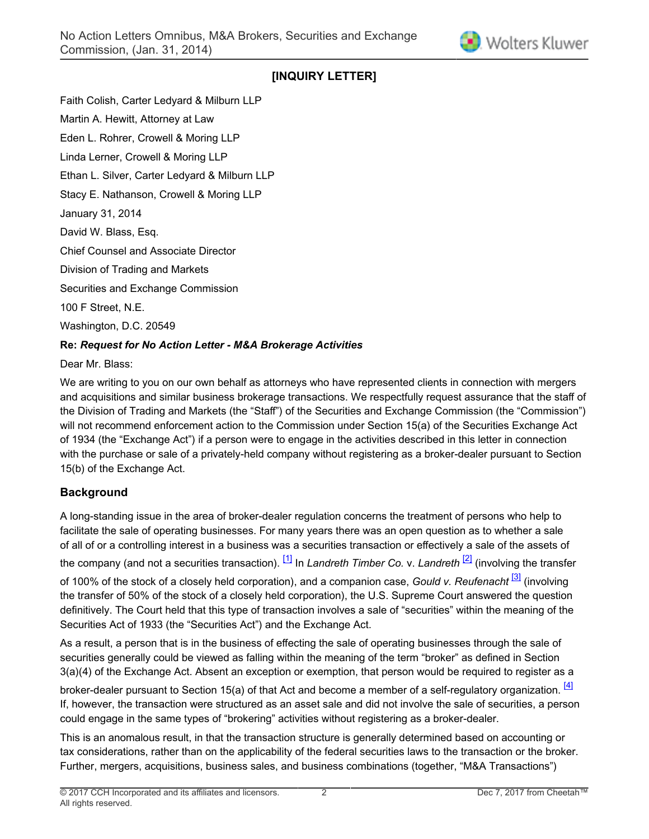## **[INQUIRY LETTER]**

Faith Colish, Carter Ledyard & Milburn LLP Martin A. Hewitt, Attorney at Law Eden L. Rohrer, Crowell & Moring LLP Linda Lerner, Crowell & Moring LLP Ethan L. Silver, Carter Ledyard & Milburn LLP Stacy E. Nathanson, Crowell & Moring LLP January 31, 2014 David W. Blass, Esq. Chief Counsel and Associate Director Division of Trading and Markets Securities and Exchange Commission 100 F Street, N.E. Washington, D.C. 20549

#### **Re:** *Request for No Action Letter - M&A Brokerage Activities*

Dear Mr. Blass:

We are writing to you on our own behalf as attorneys who have represented clients in connection with mergers and acquisitions and similar business brokerage transactions. We respectfully request assurance that the staff of the Division of Trading and Markets (the "Staff") of the Securities and Exchange Commission (the "Commission") will not recommend enforcement action to the Commission under Section 15(a) of the Securities Exchange Act of 1934 (the "Exchange Act") if a person were to engage in the activities described in this letter in connection with the purchase or sale of a privately-held company without registering as a broker-dealer pursuant to Section 15(b) of the Exchange Act.

## **Background**

<span id="page-1-1"></span><span id="page-1-0"></span>A long-standing issue in the area of broker-dealer regulation concerns the treatment of persons who help to facilitate the sale of operating businesses. For many years there was an open question as to whether a sale of all of or a controlling interest in a business was a securities transaction or effectively a sale of the assets of the company (and not a securities transaction). [\[1\]](#page-8-0) In *Landreth Timber Co.* v. *Landreth* [\[2\]](#page-8-1) (involving the transfer of 100% of the stock of a closely held corporation), and a companion case, *Gould v. Reufenacht* [\[3\]](#page-8-2) (involving the transfer of 50% of the stock of a closely held corporation), the U.S. Supreme Court answered the question definitively. The Court held that this type of transaction involves a sale of "securities" within the meaning of the Securities Act of 1933 (the "Securities Act") and the Exchange Act.

<span id="page-1-2"></span>As a result, a person that is in the business of effecting the sale of operating businesses through the sale of securities generally could be viewed as falling within the meaning of the term "broker" as defined in Section 3(a)(4) of the Exchange Act. Absent an exception or exemption, that person would be required to register as a

<span id="page-1-3"></span>broker-dealer pursuant to Section 15(a) of that Act and become a member of a self-regulatory organization. <sup>[\[4\]](#page-8-3)</sup> If, however, the transaction were structured as an asset sale and did not involve the sale of securities, a person could engage in the same types of "brokering" activities without registering as a broker-dealer.

This is an anomalous result, in that the transaction structure is generally determined based on accounting or tax considerations, rather than on the applicability of the federal securities laws to the transaction or the broker. Further, mergers, acquisitions, business sales, and business combinations (together, "M&A Transactions")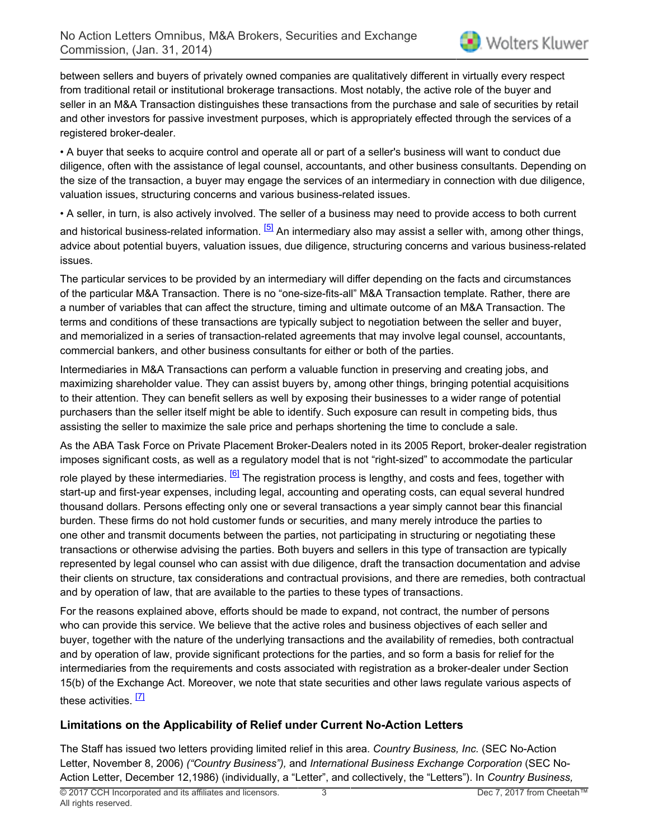between sellers and buyers of privately owned companies are qualitatively different in virtually every respect from traditional retail or institutional brokerage transactions. Most notably, the active role of the buyer and seller in an M&A Transaction distinguishes these transactions from the purchase and sale of securities by retail and other investors for passive investment purposes, which is appropriately effected through the services of a registered broker-dealer.

• A buyer that seeks to acquire control and operate all or part of a seller's business will want to conduct due diligence, often with the assistance of legal counsel, accountants, and other business consultants. Depending on the size of the transaction, a buyer may engage the services of an intermediary in connection with due diligence, valuation issues, structuring concerns and various business-related issues.

<span id="page-2-0"></span>• A seller, in turn, is also actively involved. The seller of a business may need to provide access to both current and historical business-related information. <sup>[\[5\]](#page-8-4)</sup> An intermediary also may assist a seller with, among other things, advice about potential buyers, valuation issues, due diligence, structuring concerns and various business-related issues.

The particular services to be provided by an intermediary will differ depending on the facts and circumstances of the particular M&A Transaction. There is no "one-size-fits-all" M&A Transaction template. Rather, there are a number of variables that can affect the structure, timing and ultimate outcome of an M&A Transaction. The terms and conditions of these transactions are typically subject to negotiation between the seller and buyer, and memorialized in a series of transaction-related agreements that may involve legal counsel, accountants, commercial bankers, and other business consultants for either or both of the parties.

Intermediaries in M&A Transactions can perform a valuable function in preserving and creating jobs, and maximizing shareholder value. They can assist buyers by, among other things, bringing potential acquisitions to their attention. They can benefit sellers as well by exposing their businesses to a wider range of potential purchasers than the seller itself might be able to identify. Such exposure can result in competing bids, thus assisting the seller to maximize the sale price and perhaps shortening the time to conclude a sale.

As the ABA Task Force on Private Placement Broker-Dealers noted in its 2005 Report, broker-dealer registration imposes significant costs, as well as a regulatory model that is not "right-sized" to accommodate the particular

<span id="page-2-1"></span>role played by these intermediaries.  $\frac{[6]}{[6]}$  $\frac{[6]}{[6]}$  $\frac{[6]}{[6]}$  The registration process is lengthy, and costs and fees, together with start-up and first-year expenses, including legal, accounting and operating costs, can equal several hundred thousand dollars. Persons effecting only one or several transactions a year simply cannot bear this financial burden. These firms do not hold customer funds or securities, and many merely introduce the parties to one other and transmit documents between the parties, not participating in structuring or negotiating these transactions or otherwise advising the parties. Both buyers and sellers in this type of transaction are typically represented by legal counsel who can assist with due diligence, draft the transaction documentation and advise their clients on structure, tax considerations and contractual provisions, and there are remedies, both contractual and by operation of law, that are available to the parties to these types of transactions.

For the reasons explained above, efforts should be made to expand, not contract, the number of persons who can provide this service. We believe that the active roles and business objectives of each seller and buyer, together with the nature of the underlying transactions and the availability of remedies, both contractual and by operation of law, provide significant protections for the parties, and so form a basis for relief for the intermediaries from the requirements and costs associated with registration as a broker-dealer under Section 15(b) of the Exchange Act. Moreover, we note that state securities and other laws regulate various aspects of these activities. [\[7\]](#page-8-6)

## <span id="page-2-2"></span>**Limitations on the Applicability of Relief under Current No-Action Letters**

The Staff has issued two letters providing limited relief in this area. *Country Business, Inc.* (SEC No-Action Letter, November 8, 2006) *("Country Business"),* and *International Business Exchange Corporation* (SEC No-Action Letter, December 12,1986) (individually, a "Letter", and collectively, the "Letters"). In *Country Business,*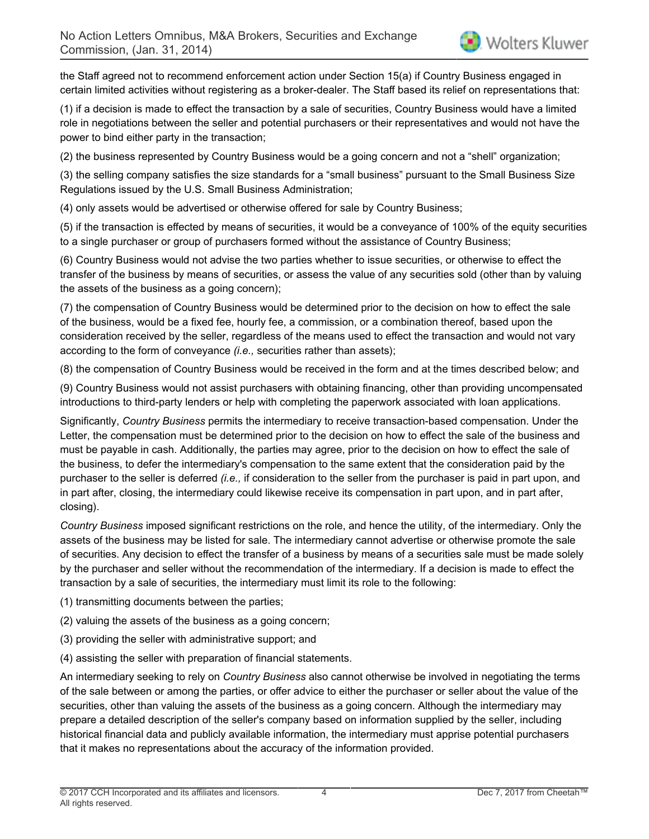the Staff agreed not to recommend enforcement action under Section 15(a) if Country Business engaged in certain limited activities without registering as a broker-dealer. The Staff based its relief on representations that:

(1) if a decision is made to effect the transaction by a sale of securities, Country Business would have a limited role in negotiations between the seller and potential purchasers or their representatives and would not have the power to bind either party in the transaction;

(2) the business represented by Country Business would be a going concern and not a "shell" organization;

(3) the selling company satisfies the size standards for a "small business" pursuant to the Small Business Size Regulations issued by the U.S. Small Business Administration;

(4) only assets would be advertised or otherwise offered for sale by Country Business;

(5) if the transaction is effected by means of securities, it would be a conveyance of 100% of the equity securities to a single purchaser or group of purchasers formed without the assistance of Country Business;

(6) Country Business would not advise the two parties whether to issue securities, or otherwise to effect the transfer of the business by means of securities, or assess the value of any securities sold (other than by valuing the assets of the business as a going concern);

(7) the compensation of Country Business would be determined prior to the decision on how to effect the sale of the business, would be a fixed fee, hourly fee, a commission, or a combination thereof, based upon the consideration received by the seller, regardless of the means used to effect the transaction and would not vary according to the form of conveyance *(i.e.,* securities rather than assets);

(8) the compensation of Country Business would be received in the form and at the times described below; and

(9) Country Business would not assist purchasers with obtaining financing, other than providing uncompensated introductions to third-party lenders or help with completing the paperwork associated with loan applications.

Significantly, *Country Business* permits the intermediary to receive transaction-based compensation. Under the Letter, the compensation must be determined prior to the decision on how to effect the sale of the business and must be payable in cash. Additionally, the parties may agree, prior to the decision on how to effect the sale of the business, to defer the intermediary's compensation to the same extent that the consideration paid by the purchaser to the seller is deferred *(i.e.,* if consideration to the seller from the purchaser is paid in part upon, and in part after, closing, the intermediary could likewise receive its compensation in part upon, and in part after, closing).

*Country Business* imposed significant restrictions on the role, and hence the utility, of the intermediary. Only the assets of the business may be listed for sale. The intermediary cannot advertise or otherwise promote the sale of securities. Any decision to effect the transfer of a business by means of a securities sale must be made solely by the purchaser and seller without the recommendation of the intermediary. If a decision is made to effect the transaction by a sale of securities, the intermediary must limit its role to the following:

(1) transmitting documents between the parties;

(2) valuing the assets of the business as a going concern;

- (3) providing the seller with administrative support; and
- (4) assisting the seller with preparation of financial statements.

An intermediary seeking to rely on *Country Business* also cannot otherwise be involved in negotiating the terms of the sale between or among the parties, or offer advice to either the purchaser or seller about the value of the securities, other than valuing the assets of the business as a going concern. Although the intermediary may prepare a detailed description of the seller's company based on information supplied by the seller, including historical financial data and publicly available information, the intermediary must apprise potential purchasers that it makes no representations about the accuracy of the information provided.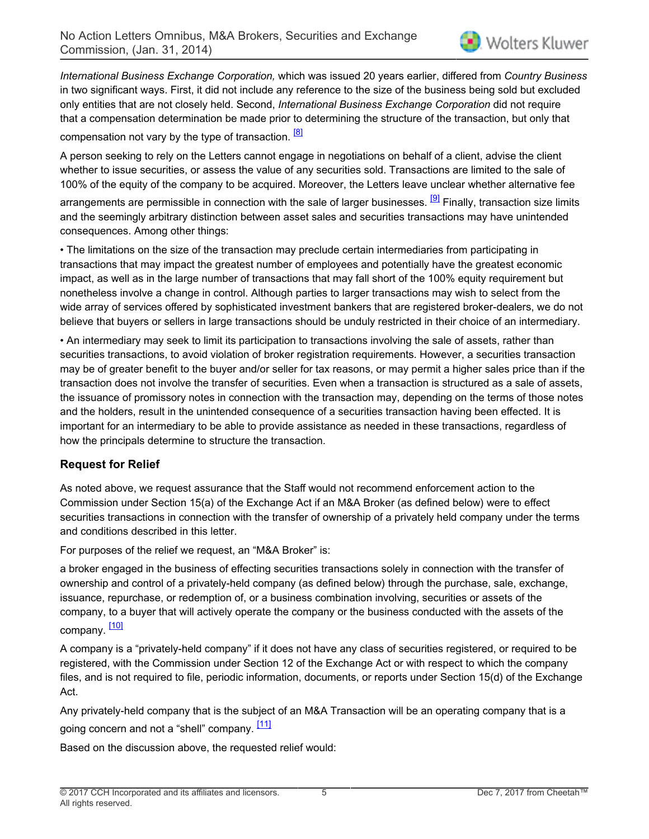*International Business Exchange Corporation,* which was issued 20 years earlier, differed from *Country Business* in two significant ways. First, it did not include any reference to the size of the business being sold but excluded only entities that are not closely held. Second, *International Business Exchange Corporation* did not require that a compensation determination be made prior to determining the structure of the transaction, but only that

<span id="page-4-0"></span>compensation not vary by the type of transaction. <sup>[\[8\]](#page-8-7)</sup>

A person seeking to rely on the Letters cannot engage in negotiations on behalf of a client, advise the client whether to issue securities, or assess the value of any securities sold. Transactions are limited to the sale of 100% of the equity of the company to be acquired. Moreover, the Letters leave unclear whether alternative fee

<span id="page-4-1"></span>arrangements are permissible in connection with the sale of larger businesses. <sup>[\[9\]](#page-8-8)</sup> Finally, transaction size limits and the seemingly arbitrary distinction between asset sales and securities transactions may have unintended consequences. Among other things:

• The limitations on the size of the transaction may preclude certain intermediaries from participating in transactions that may impact the greatest number of employees and potentially have the greatest economic impact, as well as in the large number of transactions that may fall short of the 100% equity requirement but nonetheless involve a change in control. Although parties to larger transactions may wish to select from the wide array of services offered by sophisticated investment bankers that are registered broker-dealers, we do not believe that buyers or sellers in large transactions should be unduly restricted in their choice of an intermediary.

• An intermediary may seek to limit its participation to transactions involving the sale of assets, rather than securities transactions, to avoid violation of broker registration requirements. However, a securities transaction may be of greater benefit to the buyer and/or seller for tax reasons, or may permit a higher sales price than if the transaction does not involve the transfer of securities. Even when a transaction is structured as a sale of assets, the issuance of promissory notes in connection with the transaction may, depending on the terms of those notes and the holders, result in the unintended consequence of a securities transaction having been effected. It is important for an intermediary to be able to provide assistance as needed in these transactions, regardless of how the principals determine to structure the transaction.

## **Request for Relief**

As noted above, we request assurance that the Staff would not recommend enforcement action to the Commission under Section 15(a) of the Exchange Act if an M&A Broker (as defined below) were to effect securities transactions in connection with the transfer of ownership of a privately held company under the terms and conditions described in this letter.

For purposes of the relief we request, an "M&A Broker" is:

a broker engaged in the business of effecting securities transactions solely in connection with the transfer of ownership and control of a privately-held company (as defined below) through the purchase, sale, exchange, issuance, repurchase, or redemption of, or a business combination involving, securities or assets of the company, to a buyer that will actively operate the company or the business conducted with the assets of the company. [\[10\]](#page-8-9)

<span id="page-4-2"></span>A company is a "privately-held company" if it does not have any class of securities registered, or required to be registered, with the Commission under Section 12 of the Exchange Act or with respect to which the company files, and is not required to file, periodic information, documents, or reports under Section 15(d) of the Exchange Act.

<span id="page-4-3"></span>Any privately-held company that is the subject of an M&A Transaction will be an operating company that is a going concern and not a "shell" company. [\[11\]](#page-8-10)

Based on the discussion above, the requested relief would: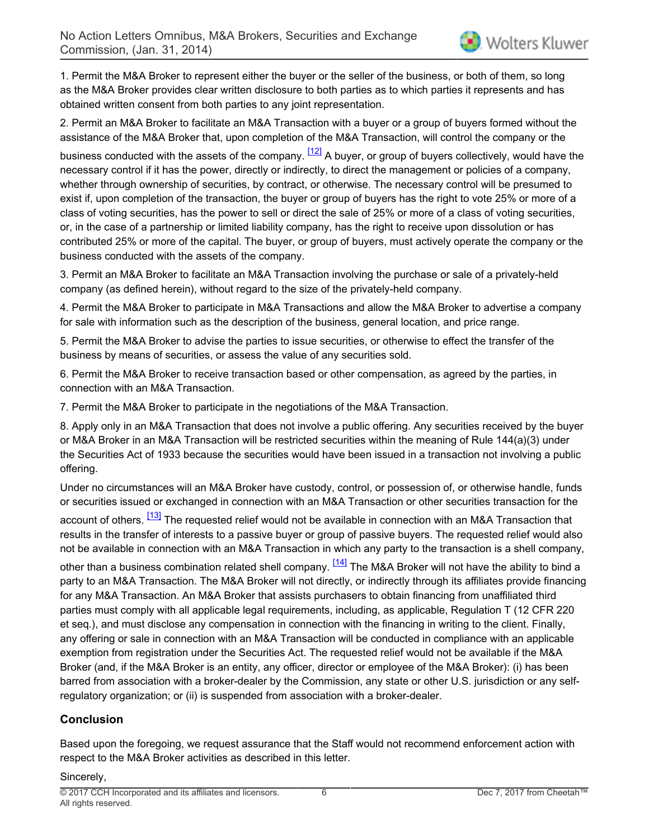1. Permit the M&A Broker to represent either the buyer or the seller of the business, or both of them, so long as the M&A Broker provides clear written disclosure to both parties as to which parties it represents and has obtained written consent from both parties to any joint representation.

2. Permit an M&A Broker to facilitate an M&A Transaction with a buyer or a group of buyers formed without the assistance of the M&A Broker that, upon completion of the M&A Transaction, will control the company or the

<span id="page-5-0"></span>business conducted with the assets of the company.  $\frac{12}{2}$  A buyer, or group of buyers collectively, would have the necessary control if it has the power, directly or indirectly, to direct the management or policies of a company, whether through ownership of securities, by contract, or otherwise. The necessary control will be presumed to exist if, upon completion of the transaction, the buyer or group of buyers has the right to vote 25% or more of a class of voting securities, has the power to sell or direct the sale of 25% or more of a class of voting securities, or, in the case of a partnership or limited liability company, has the right to receive upon dissolution or has contributed 25% or more of the capital. The buyer, or group of buyers, must actively operate the company or the business conducted with the assets of the company.

3. Permit an M&A Broker to facilitate an M&A Transaction involving the purchase or sale of a privately-held company (as defined herein), without regard to the size of the privately-held company.

4. Permit the M&A Broker to participate in M&A Transactions and allow the M&A Broker to advertise a company for sale with information such as the description of the business, general location, and price range.

5. Permit the M&A Broker to advise the parties to issue securities, or otherwise to effect the transfer of the business by means of securities, or assess the value of any securities sold.

6. Permit the M&A Broker to receive transaction based or other compensation, as agreed by the parties, in connection with an M&A Transaction.

7. Permit the M&A Broker to participate in the negotiations of the M&A Transaction.

8. Apply only in an M&A Transaction that does not involve a public offering. Any securities received by the buyer or M&A Broker in an M&A Transaction will be restricted securities within the meaning of Rule 144(a)(3) under the Securities Act of 1933 because the securities would have been issued in a transaction not involving a public offering.

Under no circumstances will an M&A Broker have custody, control, or possession of, or otherwise handle, funds or securities issued or exchanged in connection with an M&A Transaction or other securities transaction for the

<span id="page-5-1"></span>account of others. <sup>[\[13\]](#page-9-0)</sup> The requested relief would not be available in connection with an M&A Transaction that results in the transfer of interests to a passive buyer or group of passive buyers. The requested relief would also not be available in connection with an M&A Transaction in which any party to the transaction is a shell company,

<span id="page-5-2"></span>other than a business combination related shell company. <sup>[\[14\]](#page-9-1)</sup> The M&A Broker will not have the ability to bind a party to an M&A Transaction. The M&A Broker will not directly, or indirectly through its affiliates provide financing for any M&A Transaction. An M&A Broker that assists purchasers to obtain financing from unaffiliated third parties must comply with all applicable legal requirements, including, as applicable, Regulation T (12 CFR 220 et seq.), and must disclose any compensation in connection with the financing in writing to the client. Finally, any offering or sale in connection with an M&A Transaction will be conducted in compliance with an applicable exemption from registration under the Securities Act. The requested relief would not be available if the M&A Broker (and, if the M&A Broker is an entity, any officer, director or employee of the M&A Broker): (i) has been barred from association with a broker-dealer by the Commission, any state or other U.S. jurisdiction or any selfregulatory organization; or (ii) is suspended from association with a broker-dealer.

## **Conclusion**

Based upon the foregoing, we request assurance that the Staff would not recommend enforcement action with respect to the M&A Broker activities as described in this letter.

#### Sincerely,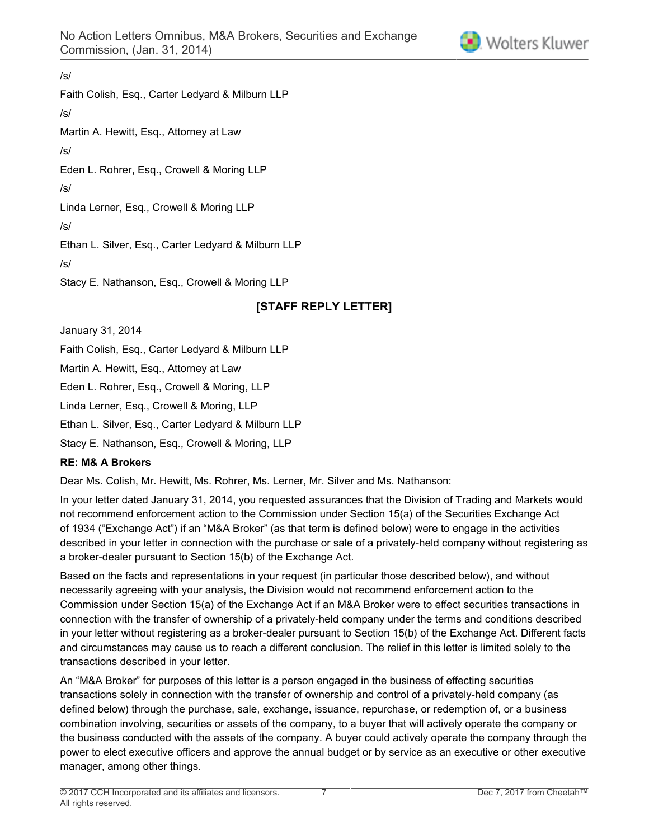

/s/ Faith Colish, Esq., Carter Ledyard & Milburn LLP /s/ Martin A. Hewitt, Esq., Attorney at Law /s/ Eden L. Rohrer, Esq., Crowell & Moring LLP /s/ Linda Lerner, Esq., Crowell & Moring LLP /s/ Ethan L. Silver, Esq., Carter Ledyard & Milburn LLP /s/ Stacy E. Nathanson, Esq., Crowell & Moring LLP

## **[STAFF REPLY LETTER]**

January 31, 2014

Faith Colish, Esq., Carter Ledyard & Milburn LLP

Martin A. Hewitt, Esq., Attorney at Law

Eden L. Rohrer, Esq., Crowell & Moring, LLP

Linda Lerner, Esq., Crowell & Moring, LLP

Ethan L. Silver, Esq., Carter Ledyard & Milburn LLP

Stacy E. Nathanson, Esq., Crowell & Moring, LLP

#### **RE: M& A Brokers**

Dear Ms. Colish, Mr. Hewitt, Ms. Rohrer, Ms. Lerner, Mr. Silver and Ms. Nathanson:

In your letter dated January 31, 2014, you requested assurances that the Division of Trading and Markets would not recommend enforcement action to the Commission under Section 15(a) of the Securities Exchange Act of 1934 ("Exchange Act") if an "M&A Broker" (as that term is defined below) were to engage in the activities described in your letter in connection with the purchase or sale of a privately-held company without registering as a broker-dealer pursuant to Section 15(b) of the Exchange Act.

Based on the facts and representations in your request (in particular those described below), and without necessarily agreeing with your analysis, the Division would not recommend enforcement action to the Commission under Section 15(a) of the Exchange Act if an M&A Broker were to effect securities transactions in connection with the transfer of ownership of a privately-held company under the terms and conditions described in your letter without registering as a broker-dealer pursuant to Section 15(b) of the Exchange Act. Different facts and circumstances may cause us to reach a different conclusion. The relief in this letter is limited solely to the transactions described in your letter.

An "M&A Broker" for purposes of this letter is a person engaged in the business of effecting securities transactions solely in connection with the transfer of ownership and control of a privately-held company (as defined below) through the purchase, sale, exchange, issuance, repurchase, or redemption of, or a business combination involving, securities or assets of the company, to a buyer that will actively operate the company or the business conducted with the assets of the company. A buyer could actively operate the company through the power to elect executive officers and approve the annual budget or by service as an executive or other executive manager, among other things.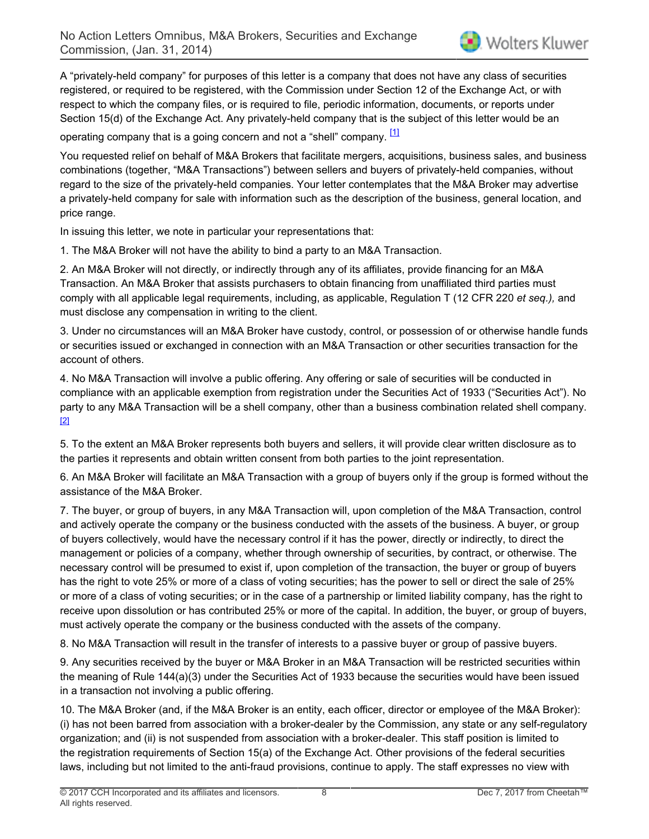A "privately-held company" for purposes of this letter is a company that does not have any class of securities registered, or required to be registered, with the Commission under Section 12 of the Exchange Act, or with respect to which the company files, or is required to file, periodic information, documents, or reports under Section 15(d) of the Exchange Act. Any privately-held company that is the subject of this letter would be an

<span id="page-7-0"></span>operating company that is a going concern and not a "shell" company. [\[1\]](#page-9-2)

You requested relief on behalf of M&A Brokers that facilitate mergers, acquisitions, business sales, and business combinations (together, "M&A Transactions") between sellers and buyers of privately-held companies, without regard to the size of the privately-held companies. Your letter contemplates that the M&A Broker may advertise a privately-held company for sale with information such as the description of the business, general location, and price range.

In issuing this letter, we note in particular your representations that:

1. The M&A Broker will not have the ability to bind a party to an M&A Transaction.

2. An M&A Broker will not directly, or indirectly through any of its affiliates, provide financing for an M&A Transaction. An M&A Broker that assists purchasers to obtain financing from unaffiliated third parties must comply with all applicable legal requirements, including, as applicable, Regulation T (12 CFR 220 *et seq.),* and must disclose any compensation in writing to the client.

3. Under no circumstances will an M&A Broker have custody, control, or possession of or otherwise handle funds or securities issued or exchanged in connection with an M&A Transaction or other securities transaction for the account of others.

4. No M&A Transaction will involve a public offering. Any offering or sale of securities will be conducted in compliance with an applicable exemption from registration under the Securities Act of 1933 ("Securities Act"). No party to any M&A Transaction will be a shell company, other than a business combination related shell company. [\[2\]](#page-9-3)

<span id="page-7-1"></span>5. To the extent an M&A Broker represents both buyers and sellers, it will provide clear written disclosure as to the parties it represents and obtain written consent from both parties to the joint representation.

6. An M&A Broker will facilitate an M&A Transaction with a group of buyers only if the group is formed without the assistance of the M&A Broker.

7. The buyer, or group of buyers, in any M&A Transaction will, upon completion of the M&A Transaction, control and actively operate the company or the business conducted with the assets of the business. A buyer, or group of buyers collectively, would have the necessary control if it has the power, directly or indirectly, to direct the management or policies of a company, whether through ownership of securities, by contract, or otherwise. The necessary control will be presumed to exist if, upon completion of the transaction, the buyer or group of buyers has the right to vote 25% or more of a class of voting securities; has the power to sell or direct the sale of 25% or more of a class of voting securities; or in the case of a partnership or limited liability company, has the right to receive upon dissolution or has contributed 25% or more of the capital. In addition, the buyer, or group of buyers, must actively operate the company or the business conducted with the assets of the company.

8. No M&A Transaction will result in the transfer of interests to a passive buyer or group of passive buyers.

9. Any securities received by the buyer or M&A Broker in an M&A Transaction will be restricted securities within the meaning of Rule 144(a)(3) under the Securities Act of 1933 because the securities would have been issued in a transaction not involving a public offering.

10. The M&A Broker (and, if the M&A Broker is an entity, each officer, director or employee of the M&A Broker): (i) has not been barred from association with a broker-dealer by the Commission, any state or any self-regulatory organization; and (ii) is not suspended from association with a broker-dealer. This staff position is limited to the registration requirements of Section 15(a) of the Exchange Act. Other provisions of the federal securities laws, including but not limited to the anti-fraud provisions, continue to apply. The staff expresses no view with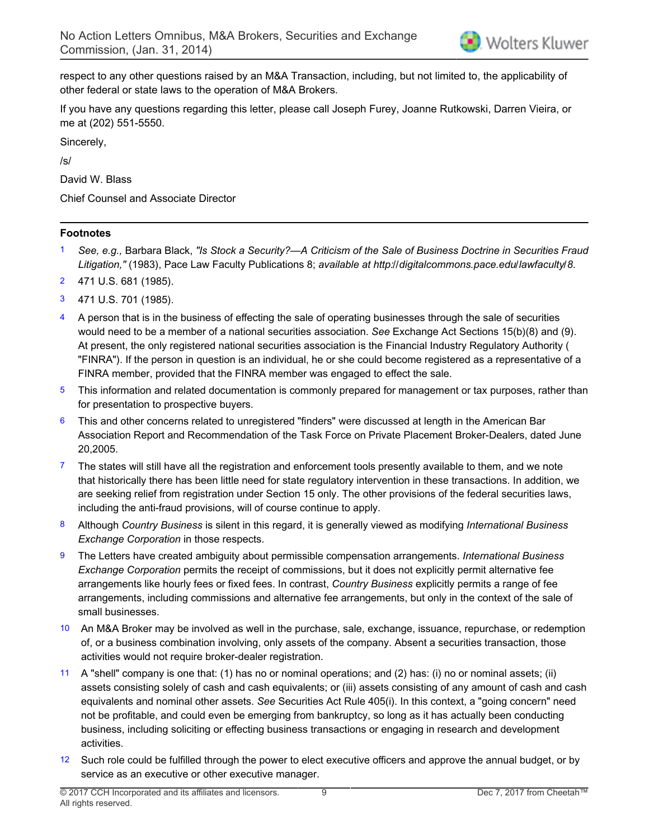respect to any other questions raised by an M&A Transaction, including, but not limited to, the applicability of other federal or state laws to the operation of M&A Brokers.

If you have any questions regarding this letter, please call Joseph Furey, Joanne Rutkowski, Darren Vieira, or me at (202) 551-5550.

Sincerely,

/s/

David W. Blass

Chief Counsel and Associate Director

#### **Footnotes**

- <span id="page-8-0"></span>[1](#page-1-0) *See, e.g.,* Barbara Black, *"Is Stock a Security?—A Criticism of the Sale of Business Doctrine in Securities Fraud Litigation,"* (1983), Pace Law Faculty Publications 8; *available at http://digitalcommons.pace.edu/lawfaculty/8*.
- <span id="page-8-1"></span>[2](#page-1-1) 471 U.S. 681 (1985).
- <span id="page-8-2"></span>[3](#page-1-2) 471 U.S. 701 (1985).
- <span id="page-8-3"></span>[4](#page-1-3) A person that is in the business of effecting the sale of operating businesses through the sale of securities would need to be a member of a national securities association. *See* Exchange Act Sections 15(b)(8) and (9). At present, the only registered national securities association is the Financial Industry Regulatory Authority ( "FINRA"). If the person in question is an individual, he or she could become registered as a representative of a FINRA member, provided that the FINRA member was engaged to effect the sale.
- <span id="page-8-4"></span>[5](#page-2-0) This information and related documentation is commonly prepared for management or tax purposes, rather than for presentation to prospective buyers.
- <span id="page-8-5"></span>[6](#page-2-1) This and other concerns related to unregistered "finders" were discussed at length in the American Bar Association Report and Recommendation of the Task Force on Private Placement Broker-Dealers, dated June 20,2005.
- <span id="page-8-6"></span>[7](#page-2-2) The states will still have all the registration and enforcement tools presently available to them, and we note that historically there has been little need for state regulatory intervention in these transactions. In addition, we are seeking relief from registration under Section 15 only. The other provisions of the federal securities laws, including the anti-fraud provisions, will of course continue to apply.
- <span id="page-8-7"></span>[8](#page-4-0) Although *Country Business* is silent in this regard, it is generally viewed as modifying *International Business Exchange Corporation* in those respects.
- <span id="page-8-8"></span>[9](#page-4-1) The Letters have created ambiguity about permissible compensation arrangements. *International Business Exchange Corporation* permits the receipt of commissions, but it does not explicitly permit alternative fee arrangements like hourly fees or fixed fees. In contrast, *Country Business* explicitly permits a range of fee arrangements, including commissions and alternative fee arrangements, but only in the context of the sale of small businesses.
- <span id="page-8-9"></span>[10](#page-4-2) An M&A Broker may be involved as well in the purchase, sale, exchange, issuance, repurchase, or redemption of, or a business combination involving, only assets of the company. Absent a securities transaction, those activities would not require broker-dealer registration.
- <span id="page-8-10"></span>[11](#page-4-3) A "shell" company is one that: (1) has no or nominal operations; and (2) has: (i) no or nominal assets; (ii) assets consisting solely of cash and cash equivalents; or (iii) assets consisting of any amount of cash and cash equivalents and nominal other assets. *See* Securities Act Rule 405(i). In this context, a "going concern" need not be profitable, and could even be emerging from bankruptcy, so long as it has actually been conducting business, including soliciting or effecting business transactions or engaging in research and development activities.
- <span id="page-8-11"></span>[12](#page-5-0) Such role could be fulfilled through the power to elect executive officers and approve the annual budget, or by service as an executive or other executive manager.